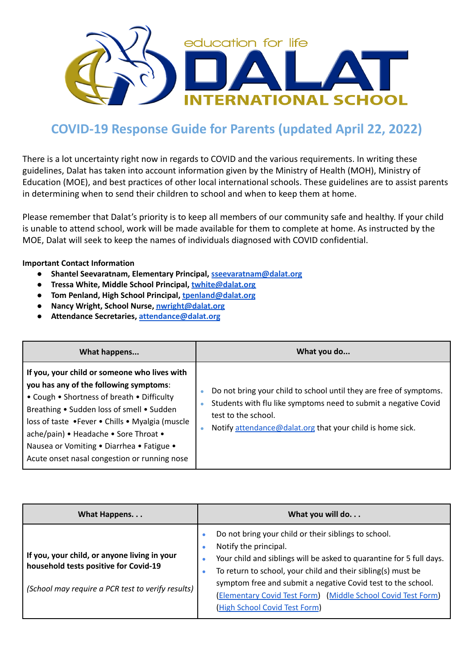

## **COVID-19 Response Guide for Parents (updated April 22, 2022)**

There is a lot uncertainty right now in regards to COVID and the various requirements. In writing these guidelines, Dalat has taken into account information given by the Ministry of Health (MOH), Ministry of Education (MOE), and best practices of other local international schools. These guidelines are to assist parents in determining when to send their children to school and when to keep them at home.

Please remember that Dalat's priority is to keep all members of our community safe and healthy. If your child is unable to attend school, work will be made available for them to complete at home. As instructed by the MOE, Dalat will seek to keep the names of individuals diagnosed with COVID confidential.

## **Important Contact Information**

- **● Shantel Seevaratnam, Elementary Principal, [sseevaratnam@dalat.org](mailto:sseevaratnam@dalat.org)**
- **● Tressa White, Middle School Principal, [twhite@dalat.org](mailto:twhite@dalat.org)**
- **● Tom Penland, High School Principal, [tpenland@dalat.org](mailto:tpenland@dalat.org)**
- **● Nancy Wright, School Nurse, [nwright@dalat.org](mailto:nwright@dalat.org)**
- **● Attendance Secretaries, [attendance@dalat.org](mailto:attendance@dalat.org)**

| What happens                                                                                                                                                                                                                                                                                                                                                               | What you do                                                                                                                                                                                                                                      |
|----------------------------------------------------------------------------------------------------------------------------------------------------------------------------------------------------------------------------------------------------------------------------------------------------------------------------------------------------------------------------|--------------------------------------------------------------------------------------------------------------------------------------------------------------------------------------------------------------------------------------------------|
| If you, your child or someone who lives with<br>you has any of the following symptoms:<br>• Cough • Shortness of breath • Difficulty<br>Breathing • Sudden loss of smell • Sudden<br>loss of taste .Fever . Chills . Myalgia (muscle<br>ache/pain) • Headache • Sore Throat •<br>Nausea or Vomiting . Diarrhea . Fatigue .<br>Acute onset nasal congestion or running nose | Do not bring your child to school until they are free of symptoms.<br>٠<br>Students with flu like symptoms need to submit a negative Covid<br>۰<br>test to the school.<br>Notify attendance@dalat.org that your child is home sick.<br>$\bullet$ |

| What Happens                                                                                                                               | What you will do                                                                                                                                                                                                                                                                                                                                                                            |
|--------------------------------------------------------------------------------------------------------------------------------------------|---------------------------------------------------------------------------------------------------------------------------------------------------------------------------------------------------------------------------------------------------------------------------------------------------------------------------------------------------------------------------------------------|
| If you, your child, or anyone living in your<br>household tests positive for Covid-19<br>(School may require a PCR test to verify results) | Do not bring your child or their siblings to school.<br>Notify the principal.<br>Your child and siblings will be asked to quarantine for 5 full days.<br>To return to school, your child and their sibling(s) must be<br>٠<br>symptom free and submit a negative Covid test to the school.<br>(Elementary Covid Test Form) (Middle School Covid Test Form)<br>(High School Covid Test Form) |